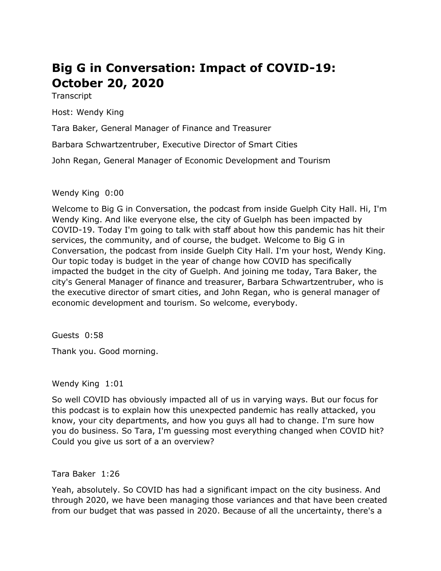# **Big G in Conversation: Impact of COVID-19: October 20, 2020**

**Transcript** 

Host: Wendy King

Tara Baker, General Manager of Finance and Treasurer

Barbara Schwartzentruber, Executive Director of Smart Cities

John Regan, General Manager of Economic Development and Tourism

Wendy King 0:00

 Welcome to Big G in Conversation, the podcast from inside Guelph City Hall. Hi, I'm Wendy King. And like everyone else, the city of Guelph has been impacted by COVID-19. Today I'm going to talk with staff about how this pandemic has hit their services, the community, and of course, the budget. Welcome to Big G in Conversation, the podcast from inside Guelph City Hall. I'm your host, Wendy King. impacted the budget in the city of Guelph. And joining me today, Tara Baker, the city's General Manager of finance and treasurer, Barbara Schwartzentruber, who is the executive director of smart cities, and John Regan, who is general manager of economic development and tourism. So welcome, everybody. Our topic today is budget in the year of change how COVID has specifically

Guests 0:58

Thank you. Good morning.

Wendy King 1:01

 So well COVID has obviously impacted all of us in varying ways. But our focus for this podcast is to explain how this unexpected pandemic has really attacked, you know, your city departments, and how you guys all had to change. I'm sure how you do business. So Tara, I'm guessing most everything changed when COVID hit? Could you give us sort of a an overview?

Tara Baker 1:26

 Yeah, absolutely. So COVID has had a significant impact on the city business. And from our budget that was passed in 2020. Because of all the uncertainty, there's a through 2020, we have been managing those variances and that have been created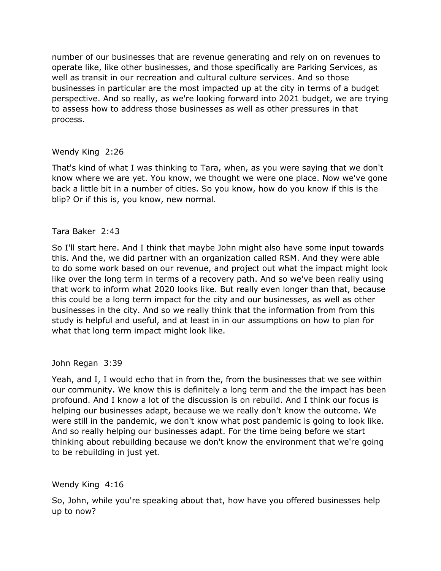number of our businesses that are revenue generating and rely on on revenues to operate like, like other businesses, and those specifically are Parking Services, as well as transit in our recreation and cultural culture services. And so those businesses in particular are the most impacted up at the city in terms of a budget perspective. And so really, as we're looking forward into 2021 budget, we are trying to assess how to address those businesses as well as other pressures in that process.

# Wendy King 2:26

 That's kind of what I was thinking to Tara, when, as you were saying that we don't back a little bit in a number of cities. So you know, how do you know if this is the blip? Or if this is, you know, new normal. know where we are yet. You know, we thought we were one place. Now we've gone

# Tara Baker 2:43

 So I'll start here. And I think that maybe John might also have some input towards this. And the, we did partner with an organization called RSM. And they were able to do some work based on our revenue, and project out what the impact might look like over the long term in terms of a recovery path. And so we've been really using that work to inform what 2020 looks like. But really even longer than that, because this could be a long term impact for the city and our businesses, as well as other businesses in the city. And so we really think that the information from from this study is helpful and useful, and at least in in our assumptions on how to plan for what that long term impact might look like.

John Regan 3:39

 Yeah, and I, I would echo that in from the, from the businesses that we see within our community. We know this is definitely a long term and the the impact has been profound. And I know a lot of the discussion is on rebuild. And I think our focus is helping our businesses adapt, because we we really don't know the outcome. We were still in the pandemic, we don't know what post pandemic is going to look like. And so really helping our businesses adapt. For the time being before we start thinking about rebuilding because we don't know the environment that we're going to be rebuilding in just yet.

Wendy King 4:16

 So, John, while you're speaking about that, how have you offered businesses help up to now?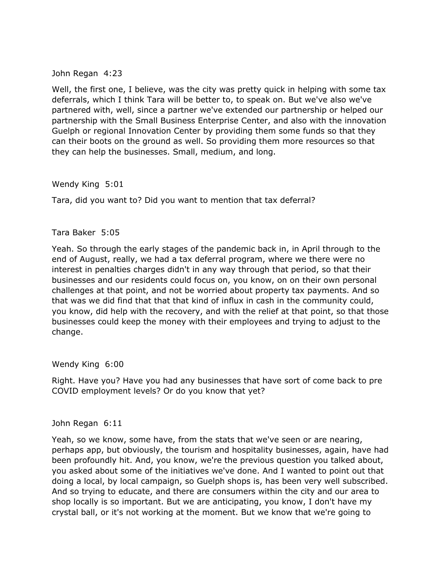John Regan 4:23

 Well, the first one, I believe, was the city was pretty quick in helping with some tax deferrals, which I think Tara will be better to, to speak on. But we've also we've partnered with, well, since a partner we've extended our partnership or helped our partnership with the Small Business Enterprise Center, and also with the innovation Guelph or regional Innovation Center by providing them some funds so that they can their boots on the ground as well. So providing them more resources so that they can help the businesses. Small, medium, and long.

Wendy King 5:01

Tara, did you want to? Did you want to mention that tax deferral?

Tara Baker 5:05

 Yeah. So through the early stages of the pandemic back in, in April through to the end of August, really, we had a tax deferral program, where we there were no interest in penalties charges didn't in any way through that period, so that their businesses and our residents could focus on, you know, on on their own personal challenges at that point, and not be worried about property tax payments. And so that was we did find that that that kind of influx in cash in the community could, you know, did help with the recovery, and with the relief at that point, so that those businesses could keep the money with their employees and trying to adjust to the change.

Wendy King 6:00

 Right. Have you? Have you had any businesses that have sort of come back to pre COVID employment levels? Or do you know that yet?

John Regan 6:11

 Yeah, so we know, some have, from the stats that we've seen or are nearing, perhaps app, but obviously, the tourism and hospitality businesses, again, have had been profoundly hit. And, you know, we're the previous question you talked about, you asked about some of the initiatives we've done. And I wanted to point out that doing a local, by local campaign, so Guelph shops is, has been very well subscribed. And so trying to educate, and there are consumers within the city and our area to shop locally is so important. But we are anticipating, you know, I don't have my crystal ball, or it's not working at the moment. But we know that we're going to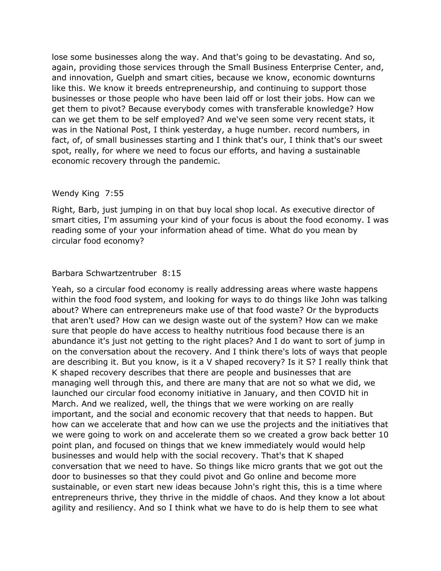lose some businesses along the way. And that's going to be devastating. And so, again, providing those services through the Small Business Enterprise Center, and, like this. We know it breeds entrepreneurship, and continuing to support those businesses or those people who have been laid off or lost their jobs. How can we can we get them to be self employed? And we've seen some very recent stats, it was in the National Post, I think yesterday, a huge number. record numbers, in fact, of, of small businesses starting and I think that's our, I think that's our sweet spot, really, for where we need to focus our efforts, and having a sustainable and innovation, Guelph and smart cities, because we know, economic downturns get them to pivot? Because everybody comes with transferable knowledge? How economic recovery through the pandemic.

#### Wendy King 7:55

 Right, Barb, just jumping in on that buy local shop local. As executive director of smart cities, I'm assuming your kind of your focus is about the food economy. I was reading some of your your information ahead of time. What do you mean by circular food economy?

# Barbara Schwartzentruber 8:15

 Yeah, so a circular food economy is really addressing areas where waste happens within the food food system, and looking for ways to do things like John was talking that aren't used? How can we design waste out of the system? How can we make on the conversation about the recovery. And I think there's lots of ways that people are describing it. But you know, is it a V shaped recovery? Is it S? I really think that managing well through this, and there are many that are not so what we did, we launched our circular food economy initiative in January, and then COVID hit in March. And we realized, well, the things that we were working on are really how can we accelerate that and how can we use the projects and the initiatives that we were going to work on and accelerate them so we created a grow back better 10 point plan, and focused on things that we knew immediately would would help businesses and would help with the social recovery. That's that K shaped door to businesses so that they could pivot and Go online and become more sustainable, or even start new ideas because John's right this, this is a time where entrepreneurs thrive, they thrive in the middle of chaos. And they know a lot about agility and resiliency. And so I think what we have to do is help them to see what about? Where can entrepreneurs make use of that food waste? Or the byproducts sure that people do have access to healthy nutritious food because there is an abundance it's just not getting to the right places? And I do want to sort of jump in K shaped recovery describes that there are people and businesses that are important, and the social and economic recovery that that needs to happen. But conversation that we need to have. So things like micro grants that we got out the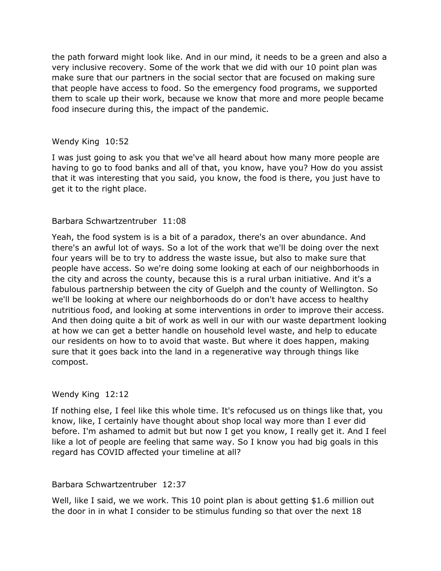the path forward might look like. And in our mind, it needs to be a green and also a very inclusive recovery. Some of the work that we did with our 10 point plan was that people have access to food. So the emergency food programs, we supported food insecure during this, the impact of the pandemic. make sure that our partners in the social sector that are focused on making sure them to scale up their work, because we know that more and more people became

#### Wendy King 10:52

 I was just going to ask you that we've all heard about how many more people are that it was interesting that you said, you know, the food is there, you just have to having to go to food banks and all of that, you know, have you? How do you assist get it to the right place.

# Barbara Schwartzentruber 11:08

 Yeah, the food system is is a bit of a paradox, there's an over abundance. And four years will be to try to address the waste issue, but also to make sure that people have access. So we're doing some looking at each of our neighborhoods in the city and across the county, because this is a rural urban initiative. And it's a nutritious food, and looking at some interventions in order to improve their access. And then doing quite a bit of work as well in our with our waste department looking at how we can get a better handle on household level waste, and help to educate our residents on how to to avoid that waste. But where it does happen, making sure that it goes back into the land in a regenerative way through things like there's an awful lot of ways. So a lot of the work that we'll be doing over the next fabulous partnership between the city of Guelph and the county of Wellington. So we'll be looking at where our neighborhoods do or don't have access to healthy compost.

# Wendy King 12:12

 If nothing else, I feel like this whole time. It's refocused us on things like that, you know, like, I certainly have thought about shop local way more than I ever did before. I'm ashamed to admit but but now I get you know, I really get it. And I feel like a lot of people are feeling that same way. So I know you had big goals in this regard has COVID affected your timeline at all?

#### Barbara Schwartzentruber 12:37

 Well, like I said, we we work. This 10 point plan is about getting \$1.6 million out the door in in what I consider to be stimulus funding so that over the next 18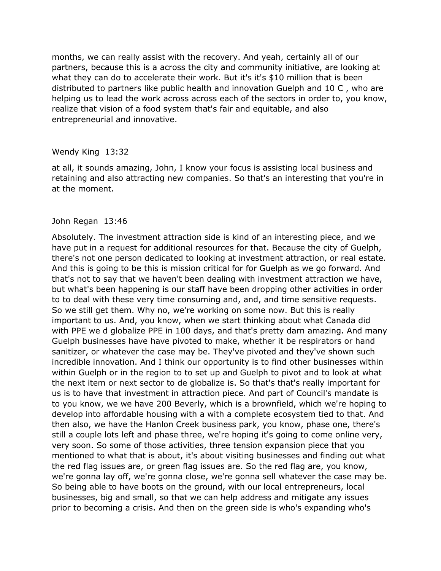months, we can really assist with the recovery. And yeah, certainly all of our partners, because this is a across the city and community initiative, are looking at what they can do to accelerate their work. But it's it's \$10 million that is been distributed to partners like public health and innovation Guelph and 10 C , who are helping us to lead the work across across each of the sectors in order to, you know, realize that vision of a food system that's fair and equitable, and also entrepreneurial and innovative.

#### Wendy King 13:32

 at all, it sounds amazing, John, I know your focus is assisting local business and retaining and also attracting new companies. So that's an interesting that you're in at the moment.

#### John Regan 13:46

 Absolutely. The investment attraction side is kind of an interesting piece, and we have put in a request for additional resources for that. Because the city of Guelph, there's not one person dedicated to looking at investment attraction, or real estate. And this is going to be this is mission critical for for Guelph as we go forward. And that's not to say that we haven't been dealing with investment attraction we have, to to deal with these very time consuming and, and, and time sensitive requests. So we still get them. Why no, we're working on some now. But this is really important to us. And, you know, when we start thinking about what Canada did with PPE we d globalize PPE in 100 days, and that's pretty darn amazing. And many sanitizer, or whatever the case may be. They've pivoted and they've shown such incredible innovation. And I think our opportunity is to find other businesses within within Guelph or in the region to to set up and Guelph to pivot and to look at what the next item or next sector to de globalize is. So that's that's really important for us is to have that investment in attraction piece. And part of Council's mandate is to you know, we we have 200 Beverly, which is a brownfield, which we're hoping to develop into affordable housing with a with a complete ecosystem tied to that. And then also, we have the Hanlon Creek business park, you know, phase one, there's still a couple lots left and phase three, we're hoping it's going to come online very, very soon. So some of those activities, three tension expansion piece that you mentioned to what that is about, it's about visiting businesses and finding out what the red flag issues are, or green flag issues are. So the red flag are, you know, we're gonna lay off, we're gonna close, we're gonna sell whatever the case may be. So being able to have boots on the ground, with our local entrepreneurs, local businesses, big and small, so that we can help address and mitigate any issues prior to becoming a crisis. And then on the green side is who's expanding who's but what's been happening is our staff have been dropping other activities in order Guelph businesses have have pivoted to make, whether it be respirators or hand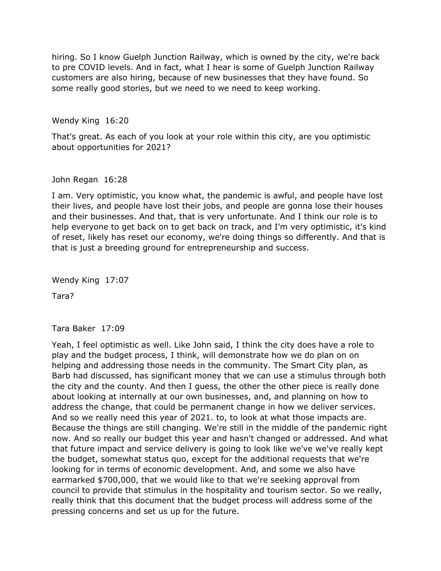hiring. So I know Guelph Junction Railway, which is owned by the city, we're back to pre COVID levels. And in fact, what I hear is some of Guelph Junction Railway customers are also hiring, because of new businesses that they have found. So some really good stories, but we need to we need to keep working.

Wendy King 16:20

 That's great. As each of you look at your role within this city, are you optimistic about opportunities for 2021?

# John Regan 16:28

 I am. Very optimistic, you know what, the pandemic is awful, and people have lost their lives, and people have lost their jobs, and people are gonna lose their houses and their businesses. And that, that is very unfortunate. And I think our role is to help everyone to get back on to get back on track, and I'm very optimistic, it's kind of reset, likely has reset our economy, we're doing things so differently. And that is that is just a breeding ground for entrepreneurship and success.

Wendy King 17:07

Tara?

Tara Baker 17:09

 Yeah, I feel optimistic as well. Like John said, I think the city does have a role to play and the budget process, I think, will demonstrate how we do plan on on helping and addressing those needs in the community. The Smart City plan, as Barb had discussed, has significant money that we can use a stimulus through both the city and the county. And then I guess, the other the other piece is really done about looking at internally at our own businesses, and, and planning on how to address the change, that could be permanent change in how we deliver services. And so we really need this year of 2021. to, to look at what those impacts are. now. And so really our budget this year and hasn't changed or addressed. And what that future impact and service delivery is going to look like we've we've really kept the budget, somewhat status quo, except for the additional requests that we're looking for in terms of economic development. And, and some we also have earmarked \$700,000, that we would like to that we're seeking approval from council to provide that stimulus in the hospitality and tourism sector. So we really, really think that this document that the budget process will address some of the pressing concerns and set us up for the future. Because the things are still changing. We're still in the middle of the pandemic right